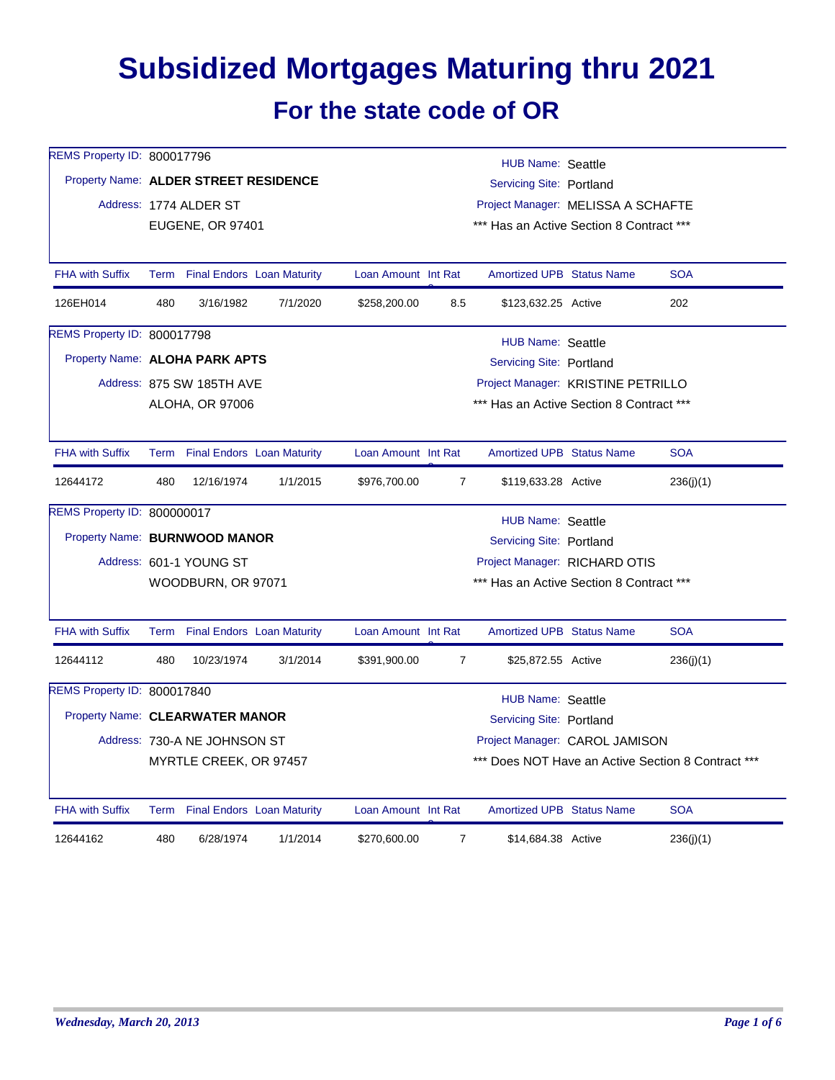## **Subsidized Mortgages Maturing thru 2021 For the state code of OR**

| REMS Property ID: 800017796           |                                                              |                                 |          |                                          |                | <b>HUB Name: Seattle</b>                 |  |                                                    |  |
|---------------------------------------|--------------------------------------------------------------|---------------------------------|----------|------------------------------------------|----------------|------------------------------------------|--|----------------------------------------------------|--|
| Property Name: ALDER STREET RESIDENCE |                                                              |                                 |          |                                          |                | Servicing Site: Portland                 |  |                                                    |  |
|                                       | Address: 1774 ALDER ST<br>Project Manager: MELISSA A SCHAFTE |                                 |          |                                          |                |                                          |  |                                                    |  |
|                                       |                                                              | EUGENE, OR 97401                |          |                                          |                | *** Has an Active Section 8 Contract *** |  |                                                    |  |
|                                       |                                                              |                                 |          |                                          |                |                                          |  |                                                    |  |
| <b>FHA with Suffix</b>                |                                                              | Term Final Endors Loan Maturity |          | Loan Amount Int Rat                      |                | <b>Amortized UPB Status Name</b>         |  | <b>SOA</b>                                         |  |
| 126EH014                              | 480                                                          | 3/16/1982                       | 7/1/2020 | \$258,200.00                             | 8.5            | \$123,632.25 Active                      |  | 202                                                |  |
| REMS Property ID: 800017798           |                                                              |                                 |          |                                          |                | <b>HUB Name: Seattle</b>                 |  |                                                    |  |
| Property Name: ALOHA PARK APTS        |                                                              |                                 |          |                                          |                | Servicing Site: Portland                 |  |                                                    |  |
|                                       |                                                              | Address: 875 SW 185TH AVE       |          |                                          |                | Project Manager: KRISTINE PETRILLO       |  |                                                    |  |
|                                       |                                                              | ALOHA, OR 97006                 |          |                                          |                | *** Has an Active Section 8 Contract *** |  |                                                    |  |
|                                       |                                                              |                                 |          |                                          |                |                                          |  |                                                    |  |
| <b>FHA with Suffix</b>                |                                                              | Term Final Endors Loan Maturity |          | Loan Amount Int Rat                      |                | <b>Amortized UPB Status Name</b>         |  | <b>SOA</b>                                         |  |
| 12644172                              | 480                                                          | 12/16/1974                      | 1/1/2015 | \$976,700.00                             | $\overline{7}$ | \$119,633.28 Active                      |  | 236(j)(1)                                          |  |
| REMS Property ID: 800000017           |                                                              |                                 |          |                                          |                | <b>HUB Name: Seattle</b>                 |  |                                                    |  |
| Property Name: BURNWOOD MANOR         |                                                              |                                 |          |                                          |                | Servicing Site: Portland                 |  |                                                    |  |
|                                       |                                                              | Address: 601-1 YOUNG ST         |          |                                          |                | Project Manager: RICHARD OTIS            |  |                                                    |  |
|                                       |                                                              | WOODBURN, OR 97071              |          | *** Has an Active Section 8 Contract *** |                |                                          |  |                                                    |  |
|                                       |                                                              |                                 |          |                                          |                |                                          |  |                                                    |  |
| <b>FHA with Suffix</b>                |                                                              | Term Final Endors Loan Maturity |          | Loan Amount Int Rat                      |                | Amortized UPB Status Name                |  | <b>SOA</b>                                         |  |
| 12644112                              | 480                                                          | 10/23/1974                      | 3/1/2014 | \$391,900.00                             | $\overline{7}$ | \$25,872.55 Active                       |  | 236(j)(1)                                          |  |
| REMS Property ID: 800017840           |                                                              |                                 |          |                                          |                | HUB Name: Seattle                        |  |                                                    |  |
| Property Name: CLEARWATER MANOR       |                                                              |                                 |          | Servicing Site: Portland                 |                |                                          |  |                                                    |  |
|                                       |                                                              | Address: 730-A NE JOHNSON ST    |          |                                          |                | Project Manager: CAROL JAMISON           |  |                                                    |  |
|                                       |                                                              | MYRTLE CREEK, OR 97457          |          |                                          |                |                                          |  | *** Does NOT Have an Active Section 8 Contract *** |  |
| <b>FHA with Suffix</b>                |                                                              | Term Final Endors Loan Maturity |          | Loan Amount Int Rat                      |                | <b>Amortized UPB Status Name</b>         |  | <b>SOA</b>                                         |  |
| 12644162                              | 480                                                          | 6/28/1974                       | 1/1/2014 | \$270,600.00                             | $\overline{7}$ | \$14,684.38 Active                       |  | 236(j)(1)                                          |  |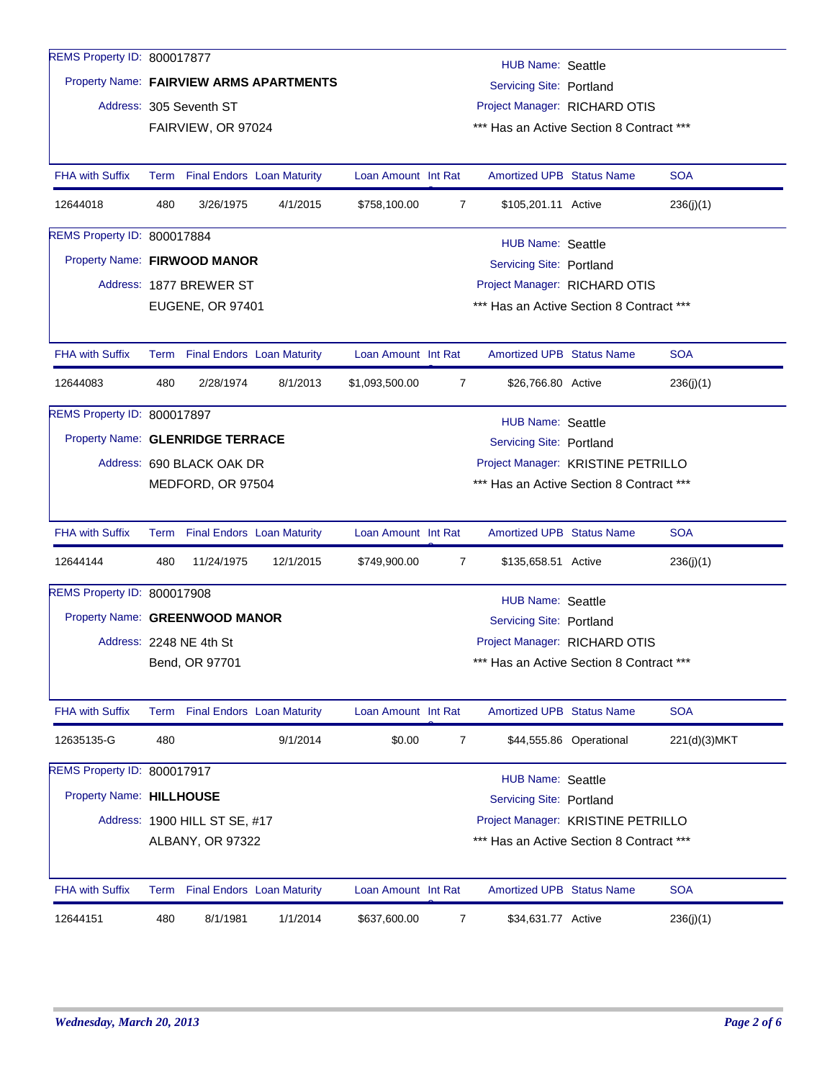| REMS Property ID: 800017877      |     |                                 |                                         |                                    |                | <b>HUB Name: Seattle</b>                 |                         |               |
|----------------------------------|-----|---------------------------------|-----------------------------------------|------------------------------------|----------------|------------------------------------------|-------------------------|---------------|
|                                  |     |                                 | Property Name: FAIRVIEW ARMS APARTMENTS |                                    |                | <b>Servicing Site: Portland</b>          |                         |               |
|                                  |     | Address: 305 Seventh ST         |                                         |                                    |                | Project Manager: RICHARD OTIS            |                         |               |
|                                  |     | FAIRVIEW, OR 97024              |                                         |                                    |                | *** Has an Active Section 8 Contract *** |                         |               |
|                                  |     |                                 |                                         |                                    |                |                                          |                         |               |
| <b>FHA with Suffix</b>           |     | Term Final Endors Loan Maturity |                                         | Loan Amount Int Rat                |                | <b>Amortized UPB Status Name</b>         |                         | <b>SOA</b>    |
| 12644018                         | 480 | 3/26/1975                       | 4/1/2015                                | \$758,100.00                       | 7              | \$105,201.11 Active                      |                         | 236(j)(1)     |
| REMS Property ID: 800017884      |     |                                 |                                         |                                    |                | HUB Name: Seattle                        |                         |               |
| Property Name: FIRWOOD MANOR     |     |                                 |                                         |                                    |                | Servicing Site: Portland                 |                         |               |
|                                  |     | Address: 1877 BREWER ST         |                                         |                                    |                | Project Manager: RICHARD OTIS            |                         |               |
|                                  |     | <b>EUGENE, OR 97401</b>         |                                         |                                    |                | *** Has an Active Section 8 Contract *** |                         |               |
|                                  |     |                                 |                                         |                                    |                |                                          |                         |               |
| <b>FHA with Suffix</b>           |     | Term Final Endors Loan Maturity |                                         | Loan Amount Int Rat                |                | <b>Amortized UPB Status Name</b>         |                         | <b>SOA</b>    |
| 12644083                         | 480 | 2/28/1974                       | 8/1/2013                                | \$1,093,500.00                     | $\overline{7}$ | \$26,766.80 Active                       |                         | 236(j)(1)     |
| REMS Property ID: 800017897      |     |                                 |                                         |                                    |                | <b>HUB Name: Seattle</b>                 |                         |               |
| Property Name: GLENRIDGE TERRACE |     |                                 |                                         |                                    |                | <b>Servicing Site: Portland</b>          |                         |               |
|                                  |     | Address: 690 BLACK OAK DR       |                                         | Project Manager: KRISTINE PETRILLO |                |                                          |                         |               |
|                                  |     | MEDFORD, OR 97504               |                                         |                                    |                | *** Has an Active Section 8 Contract *** |                         |               |
|                                  |     |                                 |                                         |                                    |                |                                          |                         |               |
| <b>FHA with Suffix</b>           |     | Term Final Endors Loan Maturity |                                         | Loan Amount Int Rat                |                | <b>Amortized UPB Status Name</b>         |                         | <b>SOA</b>    |
| 12644144                         | 480 | 11/24/1975                      | 12/1/2015                               | \$749,900.00                       | 7              | \$135,658.51 Active                      |                         | 236(j)(1)     |
| REMS Property ID: 800017908      |     |                                 |                                         |                                    |                | <b>HUB Name: Seattle</b>                 |                         |               |
| Property Name: GREENWOOD MANOR   |     |                                 |                                         |                                    |                | Servicing Site: Portland                 |                         |               |
|                                  |     | Address: 2248 NE 4th St         |                                         |                                    |                | Project Manager: RICHARD OTIS            |                         |               |
|                                  |     | Bend, OR 97701                  |                                         |                                    |                | *** Has an Active Section 8 Contract *** |                         |               |
|                                  |     |                                 |                                         |                                    |                |                                          |                         |               |
| <b>FHA with Suffix</b>           |     | Term Final Endors Loan Maturity |                                         | Loan Amount Int Rat                |                | <b>Amortized UPB Status Name</b>         |                         | <b>SOA</b>    |
| 12635135-G                       | 480 |                                 | 9/1/2014                                | \$0.00                             | 7              |                                          | \$44,555.86 Operational | 221(d)(3) MKT |
| REMS Property ID: 800017917      |     |                                 |                                         |                                    |                | <b>HUB Name: Seattle</b>                 |                         |               |
| Property Name: HILLHOUSE         |     |                                 |                                         |                                    |                | <b>Servicing Site: Portland</b>          |                         |               |
|                                  |     | Address: 1900 HILL ST SE, #17   |                                         |                                    |                | Project Manager: KRISTINE PETRILLO       |                         |               |
|                                  |     | ALBANY, OR 97322                |                                         |                                    |                | *** Has an Active Section 8 Contract *** |                         |               |
|                                  |     |                                 |                                         |                                    |                |                                          |                         |               |
| <b>FHA with Suffix</b>           |     | Term Final Endors Loan Maturity |                                         | Loan Amount Int Rat                |                | Amortized UPB Status Name                |                         | <b>SOA</b>    |
| 12644151                         | 480 | 8/1/1981                        | 1/1/2014                                | \$637,600.00                       | 7              | \$34,631.77 Active                       |                         | 236(j)(1)     |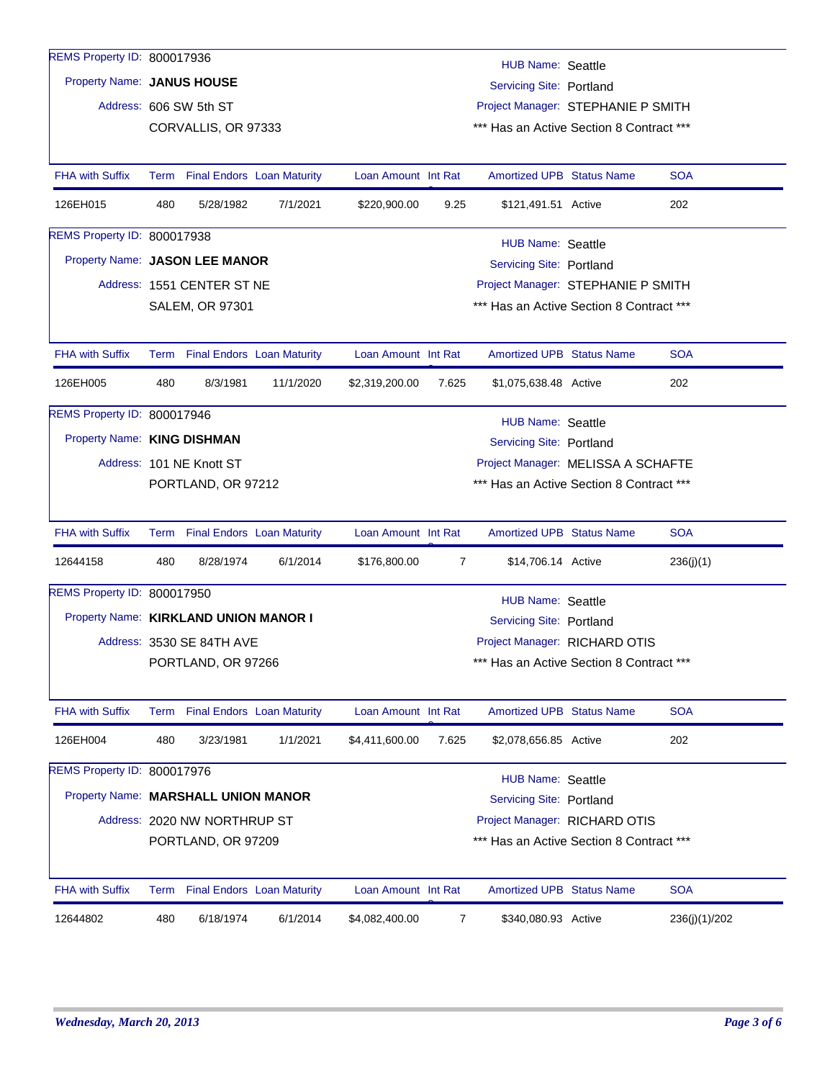| REMS Property ID: 800017936           |     |                                 |           |                     |                                                                | <b>HUB Name: Seattle</b>                 |  |               |  |  |  |
|---------------------------------------|-----|---------------------------------|-----------|---------------------|----------------------------------------------------------------|------------------------------------------|--|---------------|--|--|--|
| Property Name: JANUS HOUSE            |     |                                 |           |                     |                                                                | Servicing Site: Portland                 |  |               |  |  |  |
|                                       |     | Address: 606 SW 5th ST          |           |                     | Project Manager: STEPHANIE P SMITH                             |                                          |  |               |  |  |  |
|                                       |     | CORVALLIS, OR 97333             |           |                     |                                                                | *** Has an Active Section 8 Contract *** |  |               |  |  |  |
|                                       |     |                                 |           |                     |                                                                |                                          |  |               |  |  |  |
| <b>FHA with Suffix</b>                |     | Term Final Endors Loan Maturity |           | Loan Amount Int Rat |                                                                | <b>Amortized UPB Status Name</b>         |  | <b>SOA</b>    |  |  |  |
| 126EH015                              | 480 | 5/28/1982                       | 7/1/2021  | \$220,900.00        | 9.25                                                           | \$121,491.51 Active                      |  | 202           |  |  |  |
| REMS Property ID: 800017938           |     |                                 |           |                     |                                                                | <b>HUB Name: Seattle</b>                 |  |               |  |  |  |
| Property Name: JASON LEE MANOR        |     |                                 |           |                     |                                                                | <b>Servicing Site: Portland</b>          |  |               |  |  |  |
|                                       |     | Address: 1551 CENTER ST NE      |           |                     |                                                                | Project Manager: STEPHANIE P SMITH       |  |               |  |  |  |
|                                       |     | <b>SALEM, OR 97301</b>          |           |                     |                                                                | *** Has an Active Section 8 Contract *** |  |               |  |  |  |
|                                       |     |                                 |           |                     |                                                                |                                          |  |               |  |  |  |
| <b>FHA with Suffix</b>                |     | Term Final Endors Loan Maturity |           | Loan Amount Int Rat |                                                                | <b>Amortized UPB Status Name</b>         |  | <b>SOA</b>    |  |  |  |
| 126EH005                              | 480 | 8/3/1981                        | 11/1/2020 | \$2,319,200.00      | 7.625                                                          | \$1,075,638.48 Active                    |  | 202           |  |  |  |
| REMS Property ID: 800017946           |     |                                 |           |                     |                                                                | <b>HUB Name: Seattle</b>                 |  |               |  |  |  |
| Property Name: KING DISHMAN           |     |                                 |           |                     |                                                                |                                          |  |               |  |  |  |
|                                       |     | Address: 101 NE Knott ST        |           |                     | Servicing Site: Portland<br>Project Manager: MELISSA A SCHAFTE |                                          |  |               |  |  |  |
|                                       |     | PORTLAND, OR 97212              |           |                     |                                                                | *** Has an Active Section 8 Contract *** |  |               |  |  |  |
|                                       |     |                                 |           |                     |                                                                |                                          |  |               |  |  |  |
| <b>FHA with Suffix</b>                |     | Term Final Endors Loan Maturity |           | Loan Amount Int Rat |                                                                | <b>Amortized UPB Status Name</b>         |  | <b>SOA</b>    |  |  |  |
| 12644158                              | 480 | 8/28/1974                       | 6/1/2014  | \$176,800.00        | $\overline{7}$                                                 | \$14,706.14 Active                       |  | 236(j)(1)     |  |  |  |
| REMS Property ID: 800017950           |     |                                 |           |                     |                                                                | <b>HUB Name: Seattle</b>                 |  |               |  |  |  |
| Property Name: KIRKLAND UNION MANOR I |     |                                 |           |                     |                                                                | Servicing Site: Portland                 |  |               |  |  |  |
|                                       |     | Address: 3530 SE 84TH AVE       |           |                     |                                                                | Project Manager: RICHARD OTIS            |  |               |  |  |  |
|                                       |     | PORTLAND, OR 97266              |           |                     |                                                                | *** Has an Active Section 8 Contract *** |  |               |  |  |  |
|                                       |     |                                 |           |                     |                                                                |                                          |  |               |  |  |  |
| FHA with Suffix                       |     | Term Final Endors Loan Maturity |           | Loan Amount Int Rat |                                                                | <b>Amortized UPB Status Name</b>         |  | <b>SOA</b>    |  |  |  |
| 126EH004                              | 480 | 3/23/1981                       | 1/1/2021  | \$4,411,600.00      | 7.625                                                          | \$2,078,656.85 Active                    |  | 202           |  |  |  |
| REMS Property ID: 800017976           |     |                                 |           |                     |                                                                | <b>HUB Name: Seattle</b>                 |  |               |  |  |  |
| Property Name: MARSHALL UNION MANOR   |     |                                 |           |                     |                                                                | Servicing Site: Portland                 |  |               |  |  |  |
|                                       |     | Address: 2020 NW NORTHRUP ST    |           |                     |                                                                | Project Manager: RICHARD OTIS            |  |               |  |  |  |
|                                       |     | PORTLAND, OR 97209              |           |                     |                                                                | *** Has an Active Section 8 Contract *** |  |               |  |  |  |
|                                       |     |                                 |           |                     |                                                                |                                          |  |               |  |  |  |
| <b>FHA with Suffix</b>                |     | Term Final Endors Loan Maturity |           | Loan Amount Int Rat |                                                                | <b>Amortized UPB Status Name</b>         |  | <b>SOA</b>    |  |  |  |
| 12644802                              | 480 | 6/18/1974                       | 6/1/2014  | \$4,082,400.00      | 7                                                              | \$340,080.93 Active                      |  | 236(j)(1)/202 |  |  |  |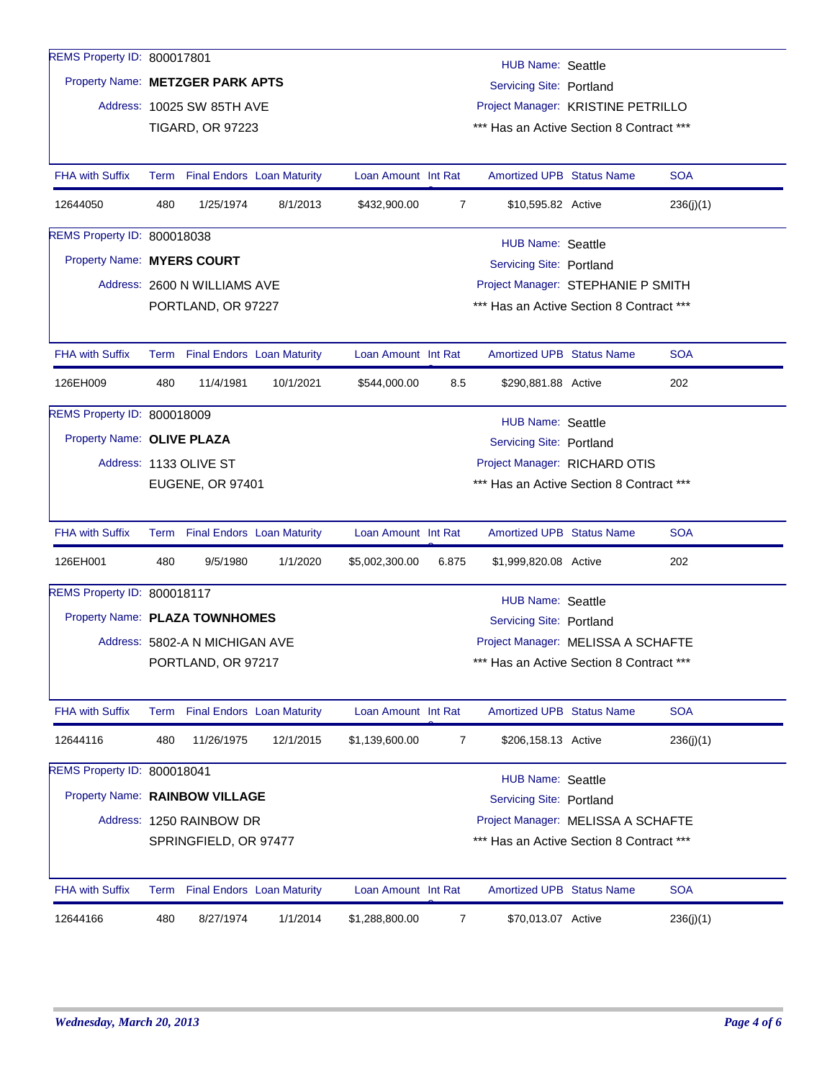| REMS Property ID: 800017801      |     |                                |                                 |                     |                                    |                                          |  |            |  |  |
|----------------------------------|-----|--------------------------------|---------------------------------|---------------------|------------------------------------|------------------------------------------|--|------------|--|--|
| Property Name: METZGER PARK APTS |     |                                |                                 |                     |                                    | <b>HUB Name: Seattle</b>                 |  |            |  |  |
|                                  |     |                                |                                 |                     | Servicing Site: Portland           |                                          |  |            |  |  |
|                                  |     | Address: 10025 SW 85TH AVE     |                                 |                     | Project Manager: KRISTINE PETRILLO |                                          |  |            |  |  |
|                                  |     | <b>TIGARD, OR 97223</b>        |                                 |                     |                                    | *** Has an Active Section 8 Contract *** |  |            |  |  |
| <b>FHA with Suffix</b>           |     |                                | Term Final Endors Loan Maturity | Loan Amount Int Rat |                                    | <b>Amortized UPB Status Name</b>         |  | <b>SOA</b> |  |  |
| 12644050                         | 480 | 1/25/1974                      | 8/1/2013                        | \$432,900.00        | $\overline{7}$                     | \$10,595.82 Active                       |  | 236(j)(1)  |  |  |
| REMS Property ID: 800018038      |     |                                |                                 |                     |                                    | <b>HUB Name: Seattle</b>                 |  |            |  |  |
| Property Name: MYERS COURT       |     |                                |                                 |                     |                                    | <b>Servicing Site: Portland</b>          |  |            |  |  |
|                                  |     | Address: 2600 N WILLIAMS AVE   |                                 |                     |                                    | Project Manager: STEPHANIE P SMITH       |  |            |  |  |
|                                  |     | PORTLAND, OR 97227             |                                 |                     |                                    | *** Has an Active Section 8 Contract *** |  |            |  |  |
|                                  |     |                                |                                 |                     |                                    |                                          |  |            |  |  |
| <b>FHA with Suffix</b>           |     |                                | Term Final Endors Loan Maturity | Loan Amount Int Rat |                                    | <b>Amortized UPB Status Name</b>         |  | <b>SOA</b> |  |  |
| 126EH009                         | 480 | 11/4/1981                      | 10/1/2021                       | \$544,000.00        | 8.5                                | \$290,881.88 Active                      |  | 202        |  |  |
| REMS Property ID: 800018009      |     |                                |                                 |                     |                                    | <b>HUB Name: Seattle</b>                 |  |            |  |  |
| Property Name: OLIVE PLAZA       |     |                                |                                 |                     |                                    | Servicing Site: Portland                 |  |            |  |  |
|                                  |     | Address: 1133 OLIVE ST         |                                 |                     | Project Manager: RICHARD OTIS      |                                          |  |            |  |  |
|                                  |     | EUGENE, OR 97401               |                                 |                     |                                    | *** Has an Active Section 8 Contract *** |  |            |  |  |
|                                  |     |                                |                                 |                     |                                    |                                          |  |            |  |  |
| <b>FHA with Suffix</b>           |     |                                | Term Final Endors Loan Maturity | Loan Amount Int Rat |                                    | <b>Amortized UPB Status Name</b>         |  | <b>SOA</b> |  |  |
| 126EH001                         | 480 | 9/5/1980                       | 1/1/2020                        | \$5,002,300.00      | 6.875                              | \$1,999,820.08 Active                    |  | 202        |  |  |
| REMS Property ID: 800018117      |     |                                |                                 |                     |                                    | <b>HUB Name: Seattle</b>                 |  |            |  |  |
| Property Name: PLAZA TOWNHOMES   |     |                                |                                 |                     |                                    | Servicing Site: Portland                 |  |            |  |  |
|                                  |     | Address: 5802-A N MICHIGAN AVE |                                 |                     |                                    | Project Manager: MELISSA A SCHAFTE       |  |            |  |  |
|                                  |     | PORTLAND, OR 97217             |                                 |                     |                                    | *** Has an Active Section 8 Contract *** |  |            |  |  |
|                                  |     |                                |                                 |                     |                                    |                                          |  |            |  |  |
| FHA with Suffix                  |     |                                | Term Final Endors Loan Maturity | Loan Amount Int Rat |                                    | <b>Amortized UPB Status Name</b>         |  | <b>SOA</b> |  |  |
| 12644116                         | 480 | 11/26/1975                     | 12/1/2015                       | \$1,139,600.00      | 7                                  | \$206,158.13 Active                      |  | 236(j)(1)  |  |  |
| REMS Property ID: 800018041      |     |                                |                                 |                     |                                    | <b>HUB Name: Seattle</b>                 |  |            |  |  |
| Property Name: RAINBOW VILLAGE   |     |                                |                                 |                     |                                    | Servicing Site: Portland                 |  |            |  |  |
|                                  |     | Address: 1250 RAINBOW DR       |                                 |                     |                                    | Project Manager: MELISSA A SCHAFTE       |  |            |  |  |
|                                  |     | SPRINGFIELD, OR 97477          |                                 |                     |                                    | *** Has an Active Section 8 Contract *** |  |            |  |  |
| <b>FHA with Suffix</b>           |     |                                | Term Final Endors Loan Maturity | Loan Amount Int Rat |                                    | <b>Amortized UPB Status Name</b>         |  | <b>SOA</b> |  |  |
|                                  |     |                                |                                 |                     |                                    |                                          |  |            |  |  |
| 12644166                         | 480 | 8/27/1974                      | 1/1/2014                        | \$1,288,800.00      | 7                                  | \$70,013.07 Active                       |  | 236(j)(1)  |  |  |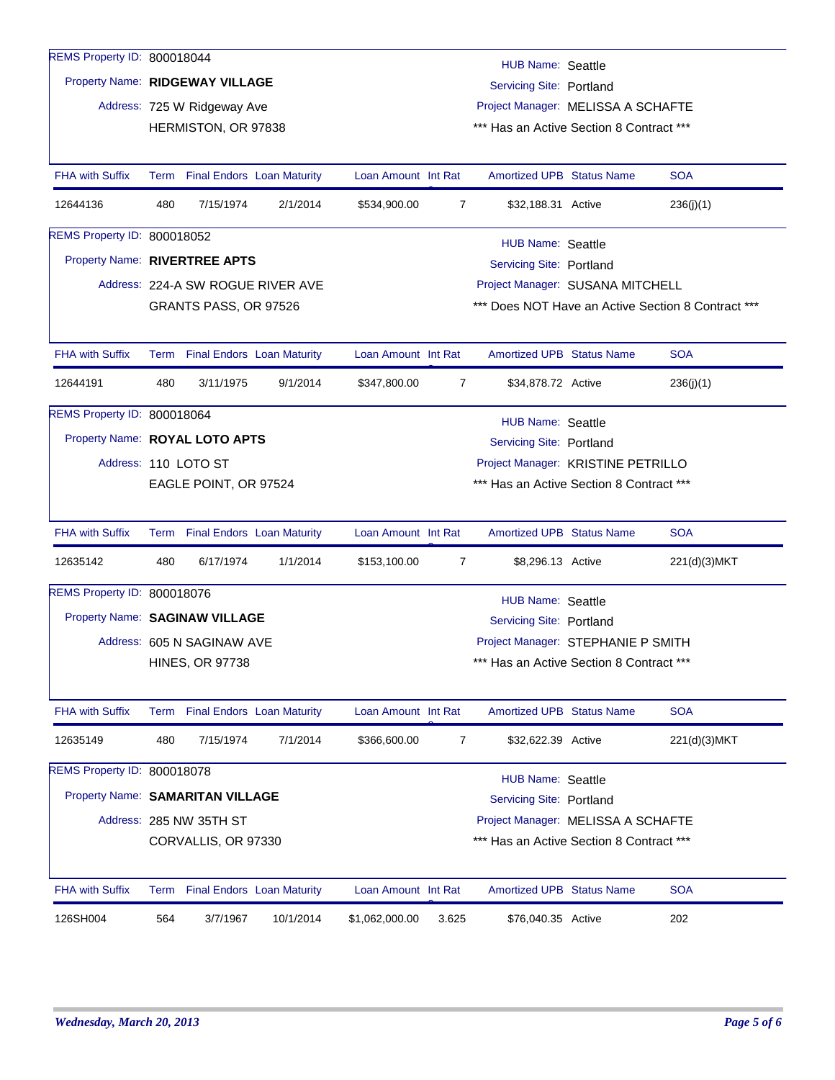| REMS Property ID: 800018044      |     |                                                             |                                   |                                                                |                                                                                |                                          |  |                                                    |  |  |  |
|----------------------------------|-----|-------------------------------------------------------------|-----------------------------------|----------------------------------------------------------------|--------------------------------------------------------------------------------|------------------------------------------|--|----------------------------------------------------|--|--|--|
|                                  |     | <b>HUB Name: Seattle</b><br>Property Name: RIDGEWAY VILLAGE |                                   |                                                                |                                                                                |                                          |  |                                                    |  |  |  |
|                                  |     |                                                             |                                   | Servicing Site: Portland<br>Project Manager: MELISSA A SCHAFTE |                                                                                |                                          |  |                                                    |  |  |  |
|                                  |     | Address: 725 W Ridgeway Ave<br>HERMISTON, OR 97838          |                                   |                                                                |                                                                                | *** Has an Active Section 8 Contract *** |  |                                                    |  |  |  |
|                                  |     |                                                             |                                   |                                                                |                                                                                |                                          |  |                                                    |  |  |  |
| <b>FHA with Suffix</b>           |     | Term Final Endors Loan Maturity                             |                                   | Loan Amount Int Rat                                            |                                                                                | <b>Amortized UPB Status Name</b>         |  | <b>SOA</b>                                         |  |  |  |
| 12644136                         | 480 | 7/15/1974                                                   | 2/1/2014                          | \$534,900.00                                                   | $\overline{7}$                                                                 | \$32,188.31 Active                       |  | 236(j)(1)                                          |  |  |  |
| REMS Property ID: 800018052      |     |                                                             |                                   |                                                                |                                                                                | <b>HUB Name: Seattle</b>                 |  |                                                    |  |  |  |
| Property Name: RIVERTREE APTS    |     |                                                             |                                   |                                                                |                                                                                | Servicing Site: Portland                 |  |                                                    |  |  |  |
|                                  |     |                                                             | Address: 224-A SW ROGUE RIVER AVE |                                                                |                                                                                | Project Manager: SUSANA MITCHELL         |  |                                                    |  |  |  |
|                                  |     | GRANTS PASS, OR 97526                                       |                                   |                                                                |                                                                                |                                          |  | *** Does NOT Have an Active Section 8 Contract *** |  |  |  |
|                                  |     |                                                             |                                   |                                                                |                                                                                |                                          |  |                                                    |  |  |  |
| <b>FHA with Suffix</b>           |     | Term Final Endors Loan Maturity                             |                                   | Loan Amount Int Rat                                            |                                                                                | <b>Amortized UPB Status Name</b>         |  | <b>SOA</b>                                         |  |  |  |
| 12644191                         | 480 | 3/11/1975                                                   | 9/1/2014                          | \$347,800.00                                                   | $\overline{7}$                                                                 | \$34,878.72 Active                       |  | 236(j)(1)                                          |  |  |  |
| REMS Property ID: 800018064      |     |                                                             |                                   |                                                                |                                                                                | <b>HUB Name: Seattle</b>                 |  |                                                    |  |  |  |
| Property Name: ROYAL LOTO APTS   |     |                                                             |                                   |                                                                | Servicing Site: Portland                                                       |                                          |  |                                                    |  |  |  |
|                                  |     | Address: 110 LOTO ST                                        |                                   |                                                                | Project Manager: KRISTINE PETRILLO                                             |                                          |  |                                                    |  |  |  |
|                                  |     | EAGLE POINT, OR 97524                                       |                                   |                                                                |                                                                                | *** Has an Active Section 8 Contract *** |  |                                                    |  |  |  |
| <b>FHA with Suffix</b>           |     | Term Final Endors Loan Maturity                             |                                   | Loan Amount Int Rat                                            |                                                                                | <b>Amortized UPB Status Name</b>         |  | <b>SOA</b>                                         |  |  |  |
| 12635142                         | 480 | 6/17/1974                                                   | 1/1/2014                          | \$153,100.00                                                   | 7                                                                              | \$8,296.13 Active                        |  | 221(d)(3)MKT                                       |  |  |  |
| REMS Property ID: 800018076      |     |                                                             |                                   |                                                                |                                                                                |                                          |  |                                                    |  |  |  |
| Property Name: SAGINAW VILLAGE   |     |                                                             |                                   |                                                                |                                                                                | <b>HUB Name: Seattle</b>                 |  |                                                    |  |  |  |
|                                  |     | Address: 605 N SAGINAW AVE                                  |                                   |                                                                |                                                                                | Servicing Site: Portland                 |  |                                                    |  |  |  |
|                                  |     | <b>HINES, OR 97738</b>                                      |                                   |                                                                | Project Manager: STEPHANIE P SMITH<br>*** Has an Active Section 8 Contract *** |                                          |  |                                                    |  |  |  |
|                                  |     |                                                             |                                   |                                                                |                                                                                |                                          |  |                                                    |  |  |  |
| <b>FHA with Suffix</b>           |     | Term Final Endors Loan Maturity                             |                                   | Loan Amount Int Rat                                            |                                                                                | Amortized UPB Status Name                |  | <b>SOA</b>                                         |  |  |  |
| 12635149                         | 480 | 7/15/1974                                                   | 7/1/2014                          | \$366,600.00                                                   | 7                                                                              | \$32,622.39 Active                       |  | 221(d)(3)MKT                                       |  |  |  |
| REMS Property ID: 800018078      |     |                                                             |                                   |                                                                |                                                                                | <b>HUB Name: Seattle</b>                 |  |                                                    |  |  |  |
| Property Name: SAMARITAN VILLAGE |     |                                                             |                                   |                                                                |                                                                                | <b>Servicing Site: Portland</b>          |  |                                                    |  |  |  |
|                                  |     | Address: 285 NW 35TH ST                                     |                                   |                                                                |                                                                                | Project Manager: MELISSA A SCHAFTE       |  |                                                    |  |  |  |
|                                  |     | CORVALLIS, OR 97330                                         |                                   |                                                                |                                                                                | *** Has an Active Section 8 Contract *** |  |                                                    |  |  |  |
| <b>FHA with Suffix</b>           |     | Term Final Endors Loan Maturity                             |                                   | Loan Amount Int Rat                                            |                                                                                | <b>Amortized UPB Status Name</b>         |  | <b>SOA</b>                                         |  |  |  |
| 126SH004                         | 564 | 3/7/1967                                                    | 10/1/2014                         | \$1,062,000.00                                                 | 3.625                                                                          | \$76,040.35 Active                       |  | 202                                                |  |  |  |